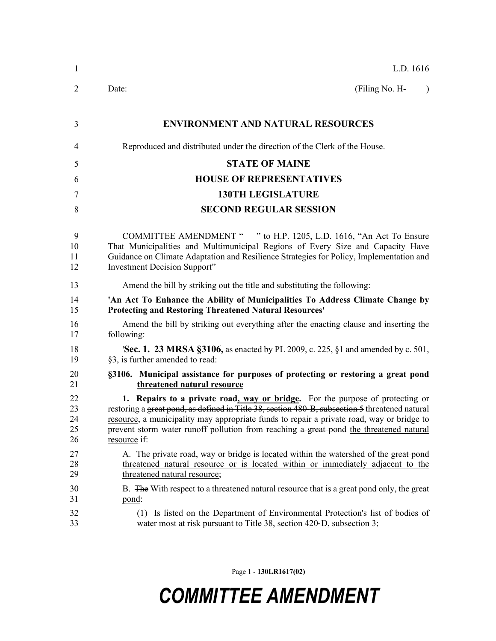| 1      | L.D. 1616                                                                                      |
|--------|------------------------------------------------------------------------------------------------|
| 2      | (Filing No. H-<br>Date:<br>$\lambda$                                                           |
| 3      | <b>ENVIRONMENT AND NATURAL RESOURCES</b>                                                       |
| 4      | Reproduced and distributed under the direction of the Clerk of the House.                      |
|        | <b>STATE OF MAINE</b>                                                                          |
| 5<br>6 | <b>HOUSE OF REPRESENTATIVES</b>                                                                |
| 7      | <b>130TH LEGISLATURE</b>                                                                       |
| 8      | <b>SECOND REGULAR SESSION</b>                                                                  |
| 9      | COMMITTEE AMENDMENT " " to H.P. 1205, L.D. 1616, "An Act To Ensure                             |
| 10     | That Municipalities and Multimunicipal Regions of Every Size and Capacity Have                 |
| 11     | Guidance on Climate Adaptation and Resilience Strategies for Policy, Implementation and        |
| 12     | Investment Decision Support"                                                                   |
| 13     | Amend the bill by striking out the title and substituting the following:                       |
| 14     | 'An Act To Enhance the Ability of Municipalities To Address Climate Change by                  |
| 15     | <b>Protecting and Restoring Threatened Natural Resources'</b>                                  |
| 16     | Amend the bill by striking out everything after the enacting clause and inserting the          |
| 17     | following:                                                                                     |
| 18     | <b>Sec. 1. 23 MRSA §3106,</b> as enacted by PL 2009, c. 225, §1 and amended by c. 501,         |
| 19     | §3, is further amended to read:                                                                |
| 20     | §3106. Municipal assistance for purposes of protecting or restoring a great pond               |
| 21     | threatened natural resource                                                                    |
| 22     | 1. Repairs to a private road, way or bridge. For the purpose of protecting or                  |
| 23     | restoring a great pond, as defined in Title 38, section 480-B, subsection 5 threatened natural |
| 24     | resource, a municipality may appropriate funds to repair a private road, way or bridge to      |
| 25     | prevent storm water runoff pollution from reaching a great pond the threatened natural         |
| 26     | resource if:                                                                                   |
| 27     | A. The private road, way or bridge is located within the watershed of the great pond           |
| 28     | threatened natural resource or is located within or immediately adjacent to the                |
| 29     | threatened natural resource;                                                                   |
| 30     | B. The With respect to a threatened natural resource that is a great pond only, the great      |
| 31     | pond:                                                                                          |
| 32     | (1) Is listed on the Department of Environmental Protection's list of bodies of                |
| 33     | water most at risk pursuant to Title 38, section 420-D, subsection 3;                          |

Page 1 - **130LR1617(02)**

## *COMMITTEE AMENDMENT*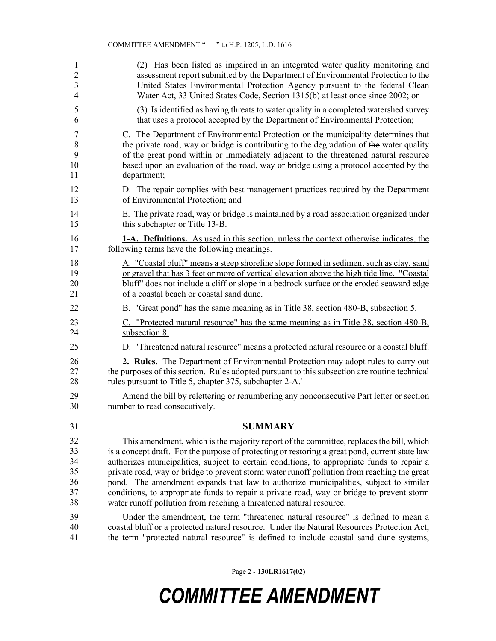| 1              | (2) Has been listed as impaired in an integrated water quality monitoring and                  |
|----------------|------------------------------------------------------------------------------------------------|
| $\overline{c}$ | assessment report submitted by the Department of Environmental Protection to the               |
| $\overline{3}$ | United States Environmental Protection Agency pursuant to the federal Clean                    |
| 4              | Water Act, 33 United States Code, Section 1315(b) at least once since 2002; or                 |
| 5              | (3) Is identified as having threats to water quality in a completed watershed survey           |
| 6              | that uses a protocol accepted by the Department of Environmental Protection;                   |
| 7              | C. The Department of Environmental Protection or the municipality determines that              |
| $\,$ $\,$      | the private road, way or bridge is contributing to the degradation of the water quality        |
| 9              | of the great pond within or immediately adjacent to the threatened natural resource            |
| 10             | based upon an evaluation of the road, way or bridge using a protocol accepted by the           |
| 11             | department;                                                                                    |
| 12             | D. The repair complies with best management practices required by the Department               |
| 13             | of Environmental Protection; and                                                               |
| 14             | E. The private road, way or bridge is maintained by a road association organized under         |
| 15             | this subchapter or Title 13-B.                                                                 |
| 16             | <b>1-A. Definitions.</b> As used in this section, unless the context otherwise indicates, the  |
| 17             | following terms have the following meanings.                                                   |
| 18             | A. "Coastal bluff" means a steep shoreline slope formed in sediment such as clay, sand         |
| 19             | or gravel that has 3 feet or more of vertical elevation above the high tide line. "Coastal"    |
| 20             | bluff" does not include a cliff or slope in a bedrock surface or the eroded seaward edge       |
| 21             | of a coastal beach or coastal sand dune.                                                       |
| 22             | B. "Great pond" has the same meaning as in Title 38, section 480-B, subsection 5.              |
| 23             | C. "Protected natural resource" has the same meaning as in Title 38, section 480-B,            |
| 24             | subsection 8.                                                                                  |
| 25             | D. "Threatened natural resource" means a protected natural resource or a coastal bluff.        |
| 26             | 2. Rules. The Department of Environmental Protection may adopt rules to carry out              |
| 27             | the purposes of this section. Rules adopted pursuant to this subsection are routine technical  |
| 28             | rules pursuant to Title 5, chapter 375, subchapter 2-A.                                        |
| 29             | Amend the bill by relettering or renumbering any nonconsecutive Part letter or section         |
| 30             | number to read consecutively.                                                                  |
| 31             | <b>SUMMARY</b>                                                                                 |
| 32             | This amendment, which is the majority report of the committee, replaces the bill, which        |
| 33             | is a concept draft. For the purpose of protecting or restoring a great pond, current state law |
| 34             | authorizes municipalities, subject to certain conditions, to appropriate funds to repair a     |
| 35             | private road, way or bridge to prevent storm water runoff pollution from reaching the great    |
| 36             | pond. The amendment expands that law to authorize municipalities, subject to similar           |
| 37             | conditions, to appropriate funds to repair a private road, way or bridge to prevent storm      |
| 38             | water runoff pollution from reaching a threatened natural resource.                            |
| 39             | Under the amendment, the term "threatened natural resource" is defined to mean a               |
| 40             | coastal bluff or a protected natural resource. Under the Natural Resources Protection Act,     |
| 41             | the term "protected natural resource" is defined to include coastal sand dune systems,         |

Page 2 - **130LR1617(02)**

## *COMMITTEE AMENDMENT*